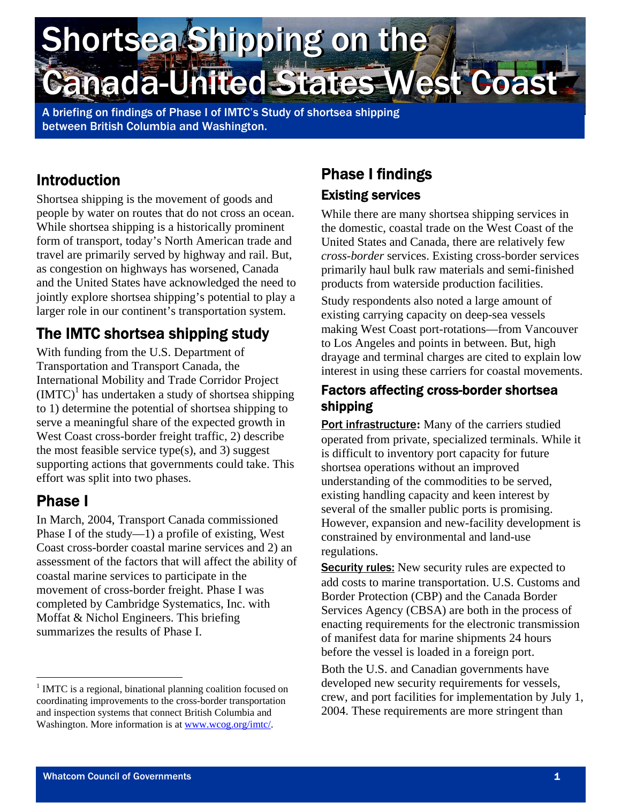# Shortsea Shipping on the Shortsea Shipping on the Canada-United States West Coast Canada-United States West Coast

A briefing on findings of Phase I of IMTC's Study of shortsea shipping between British Columbia and Washington.

## Introduction

Shortsea shipping is the movement of goods and people by water on routes that do not cross an ocean. While shortsea shipping is a historically prominent form of transport, today's North American trade and travel are primarily served by highway and rail. But, as congestion on highways has worsened, Canada and the United States have acknowledged the need to jointly explore shortsea shipping's potential to play a larger role in our continent's transportation system.

# The IMTC shortsea shipping study

With funding from the U.S. Department of Transportation and Transport Canada, the International Mobility and Trade Corridor Project  $(MTC)^1$  has undertaken a study of shortsea shipping to 1) determine the potential of shortsea shipping to serve a meaningful share of the expected growth in West Coast cross-border freight traffic, 2) describe the most feasible service type $(s)$ , and 3) suggest supporting actions that governments could take. This effort was split into two phases.

## Phase I

 $\overline{a}$ 

In March, 2004, Transport Canada commissioned Phase I of the study—1) a profile of existing, West Coast cross-border coastal marine services and 2) an assessment of the factors that will affect the ability of coastal marine services to participate in the movement of cross-border freight. Phase I was completed by Cambridge Systematics, Inc. with Moffat & Nichol Engineers. This briefing summarizes the results of Phase I.

### Phase I findings Existing services

While there are many shortsea shipping services in the domestic, coastal trade on the West Coast of the United States and Canada, there are relatively few *cross-border* services. Existing cross-border services primarily haul bulk raw materials and semi-finished products from waterside production facilities.

Study respondents also noted a large amount of existing carrying capacity on deep-sea vessels making West Coast port-rotations—from Vancouver to Los Angeles and points in between. But, high drayage and terminal charges are cited to explain low interest in using these carriers for coastal movements.

#### Factors affecting cross-border shortsea shipping

Port infrastructure**:** Many of the carriers studied operated from private, specialized terminals. While it is difficult to inventory port capacity for future shortsea operations without an improved understanding of the commodities to be served, existing handling capacity and keen interest by several of the smaller public ports is promising. However, expansion and new-facility development is constrained by environmental and land-use regulations.

**Security rules:** New security rules are expected to add costs to marine transportation. U.S. Customs and Border Protection (CBP) and the Canada Border Services Agency (CBSA) are both in the process of enacting requirements for the electronic transmission of manifest data for marine shipments 24 hours before the vessel is loaded in a foreign port.

Both the U.S. and Canadian governments have developed new security requirements for vessels, crew, and port facilities for implementation by July 1, 2004. These requirements are more stringent than

<span id="page-0-0"></span><sup>&</sup>lt;sup>1</sup> IMTC is a regional, binational planning coalition focused on coordinating improvements to the cross-border transportation and inspection systems that connect British Columbia and Washington. More information is at [www.wcog.org/imtc/](http://www.wcog.org/imtc/).